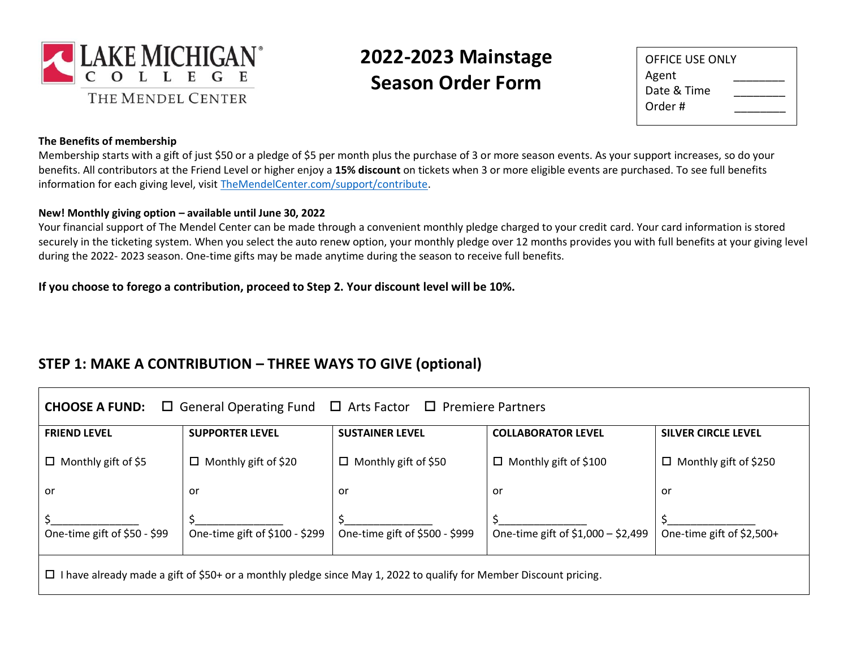

# **2022-2023 Mainstage Season Order Form**

| OFFICE USE ONLY |  |
|-----------------|--|
| Agent           |  |
| Date & Time     |  |
| Order #         |  |
|                 |  |

#### **The Benefits of membership**

Membership starts with a gift of just \$50 or a pledge of \$5 per month plus the purchase of 3 or more season events. As your support increases, so do your benefits. All contributors at the Friend Level or higher enjoy a **15% discount** on tickets when 3 or more eligible events are purchased. To see full benefits information for each giving level, visit [TheMendelCenter.com/support/contribute.](http://themendelcenter.com/support/contribute)

#### **New! Monthly giving option – available until June 30, 2022**

Your financial support of The Mendel Center can be made through a convenient monthly pledge charged to your credit card. Your card information is stored securely in the ticketing system. When you select the auto renew option, your monthly pledge over 12 months provides you with full benefits at your giving level during the 2022- 2023 season. One-time gifts may be made anytime during the season to receive full benefits.

**If you choose to forego a contribution, proceed to Step 2. Your discount level will be 10%.**

### **STEP 1: MAKE A CONTRIBUTION – THREE WAYS TO GIVE (optional)**

| $\Box$ General Operating Fund<br>$\Box$ Premiere Partners<br><b>CHOOSE A FUND:</b><br>$\Box$ Arts Factor                    |                                |                                |                                    |                              |  |  |  |  |
|-----------------------------------------------------------------------------------------------------------------------------|--------------------------------|--------------------------------|------------------------------------|------------------------------|--|--|--|--|
| <b>FRIEND LEVEL</b>                                                                                                         | <b>SUPPORTER LEVEL</b>         | <b>SUSTAINER LEVEL</b>         | <b>COLLABORATOR LEVEL</b>          | <b>SILVER CIRCLE LEVEL</b>   |  |  |  |  |
| $\Box$ Monthly gift of \$5                                                                                                  | $\Box$ Monthly gift of \$20    | Monthly gift of \$50<br>□      | $\Box$ Monthly gift of \$100       | $\Box$ Monthly gift of \$250 |  |  |  |  |
| or                                                                                                                          | or                             | or                             | or                                 | or                           |  |  |  |  |
| One-time gift of \$50 - \$99                                                                                                | One-time gift of \$100 - \$299 | One-time gift of \$500 - \$999 | One-time gift of \$1,000 - \$2,499 | One-time gift of \$2,500+    |  |  |  |  |
| I have already made a gift of \$50+ or a monthly pledge since May 1, 2022 to qualify for Member Discount pricing.<br>$\Box$ |                                |                                |                                    |                              |  |  |  |  |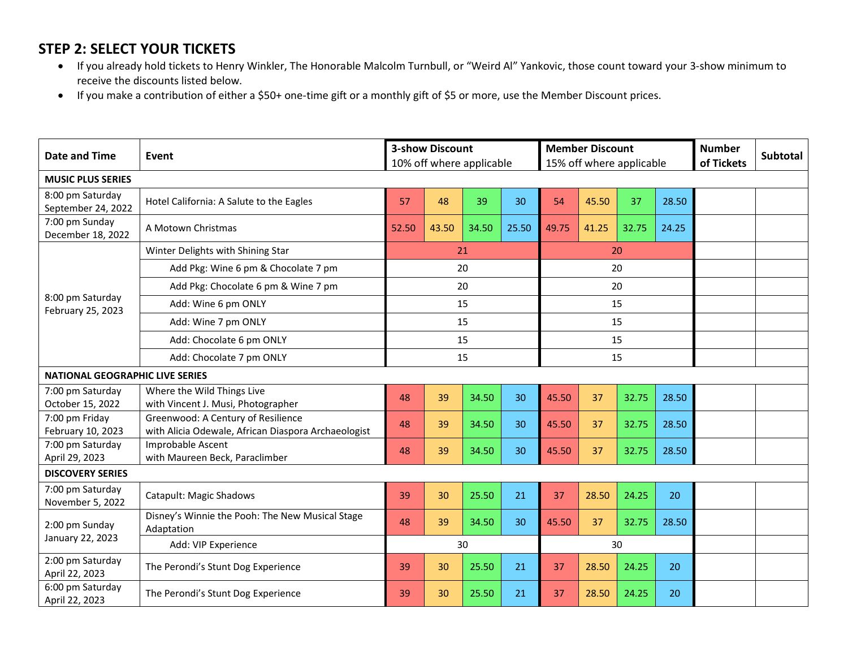## **STEP 2: SELECT YOUR TICKETS**

- If you already hold tickets to Henry Winkler, The Honorable Malcolm Turnbull, or "Weird Al" Yankovic, those count toward your 3-show minimum to receive the discounts listed below.
- If you make a contribution of either a \$50+ one-time gift or a monthly gift of \$5 or more, use the Member Discount prices.

| Date and Time                            | Event                                                            | <b>3-show Discount</b><br>10% off where applicable |       |       |       |       | <b>Member Discount</b> | 15% off where applicable | <b>Number</b><br>of Tickets | <b>Subtotal</b> |  |
|------------------------------------------|------------------------------------------------------------------|----------------------------------------------------|-------|-------|-------|-------|------------------------|--------------------------|-----------------------------|-----------------|--|
| <b>MUSIC PLUS SERIES</b>                 |                                                                  |                                                    |       |       |       |       |                        |                          |                             |                 |  |
| 8:00 pm Saturday<br>September 24, 2022   | Hotel California: A Salute to the Eagles                         | 57                                                 | 48    | 39    | 30    | 54    | 45.50                  | 37                       | 28.50                       |                 |  |
| 7:00 pm Sunday<br>December 18, 2022      | A Motown Christmas                                               | 52.50                                              | 43.50 | 34.50 | 25.50 | 49.75 | 41.25                  | 32.75                    | 24.25                       |                 |  |
|                                          | Winter Delights with Shining Star                                |                                                    |       | 21    |       |       |                        | 20                       |                             |                 |  |
|                                          | Add Pkg: Wine 6 pm & Chocolate 7 pm                              |                                                    |       | 20    |       |       |                        | 20                       |                             |                 |  |
|                                          | Add Pkg: Chocolate 6 pm & Wine 7 pm                              |                                                    |       | 20    |       |       |                        | 20                       |                             |                 |  |
| 8:00 pm Saturday                         | Add: Wine 6 pm ONLY                                              |                                                    |       | 15    |       |       |                        | 15                       |                             |                 |  |
| February 25, 2023<br>Add: Wine 7 pm ONLY |                                                                  |                                                    |       | 15    |       |       |                        | 15                       |                             |                 |  |
|                                          | Add: Chocolate 6 pm ONLY                                         | 15                                                 |       |       |       |       |                        | 15                       |                             |                 |  |
|                                          | Add: Chocolate 7 pm ONLY                                         | 15                                                 |       |       |       |       |                        | 15                       |                             |                 |  |
| <b>NATIONAL GEOGRAPHIC LIVE SERIES</b>   |                                                                  |                                                    |       |       |       |       |                        |                          |                             |                 |  |
| 7:00 pm Saturday<br>October 15, 2022     | Where the Wild Things Live<br>with Vincent J. Musi, Photographer | 48                                                 | 39    | 34.50 | 30    | 45.50 | 37                     | 32.75                    | 28.50                       |                 |  |
| 7:00 pm Friday                           | Greenwood: A Century of Resilience                               |                                                    |       |       |       |       |                        |                          |                             |                 |  |
| February 10, 2023                        | with Alicia Odewale, African Diaspora Archaeologist              | 48                                                 | 39    | 34.50 | 30    | 45.50 | 37                     | 32.75                    | 28.50                       |                 |  |
| 7:00 pm Saturday<br>April 29, 2023       | Improbable Ascent<br>with Maureen Beck, Paraclimber              | 48                                                 | 39    | 34.50 | 30    | 45.50 | 37                     | 32.75                    | 28.50                       |                 |  |
| <b>DISCOVERY SERIES</b>                  |                                                                  |                                                    |       |       |       |       |                        |                          |                             |                 |  |
| 7:00 pm Saturday<br>November 5, 2022     | Catapult: Magic Shadows                                          | 39                                                 | 30    | 25.50 | 21    | 37    | 28.50                  | 24.25                    | 20                          |                 |  |
| 2:00 pm Sunday                           | Disney's Winnie the Pooh: The New Musical Stage<br>Adaptation    | 48                                                 | 39    | 34.50 | 30    | 45.50 | 37                     | 32.75                    | 28.50                       |                 |  |
|                                          | January 22, 2023<br>30<br>Add: VIP Experience                    |                                                    |       |       |       | 30    |                        |                          |                             |                 |  |
| 2:00 pm Saturday<br>April 22, 2023       | The Perondi's Stunt Dog Experience                               | 39                                                 | 30    | 25.50 | 21    | 37    | 28.50                  | 24.25                    | 20                          |                 |  |
| 6:00 pm Saturday<br>April 22, 2023       | The Perondi's Stunt Dog Experience                               | 39                                                 | 30    | 25.50 | 21    | 37    | 28.50                  | 24.25                    | 20                          |                 |  |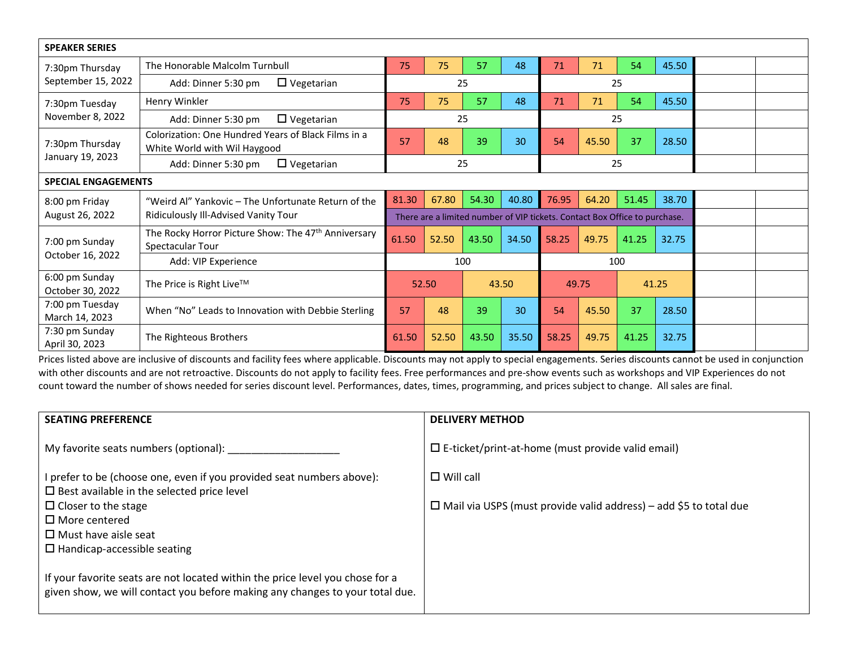| <b>SPEAKER SERIES</b>              |                                                                                     |                                                                            |          |            |                |       |       |       |       |  |
|------------------------------------|-------------------------------------------------------------------------------------|----------------------------------------------------------------------------|----------|------------|----------------|-------|-------|-------|-------|--|
| 7:30pm Thursday                    | The Honorable Malcolm Turnbull                                                      | 75                                                                         | 75       | 57         | 48             | 71    | 71    | 54    | 45.50 |  |
| September 15, 2022                 | $\Box$ Vegetarian<br>Add: Dinner 5:30 pm                                            |                                                                            |          | 25         |                |       |       | 25    |       |  |
| 7:30pm Tuesday                     | Henry Winkler                                                                       | 75                                                                         | 75       | 57         | 48             | 71    | 71    | 54    | 45.50 |  |
| November 8, 2022                   | $\Box$ Vegetarian<br>Add: Dinner 5:30 pm                                            |                                                                            |          | 25         |                |       | 25    |       |       |  |
| 7:30pm Thursday                    | Colorization: One Hundred Years of Black Films in a<br>White World with Wil Haygood | 57                                                                         | 48       | 39         | 30             | 54    | 45.50 | 37    | 28.50 |  |
| January 19, 2023                   | $\Box$ Vegetarian<br>Add: Dinner 5:30 pm                                            |                                                                            | 25<br>25 |            |                |       |       |       |       |  |
| <b>SPECIAL ENGAGEMENTS</b>         |                                                                                     |                                                                            |          |            |                |       |       |       |       |  |
| 8:00 pm Friday                     | "Weird Al" Yankovic – The Unfortunate Return of the                                 | 81.30                                                                      | 67.80    | 54.30      | 40.80          | 76.95 | 64.20 | 51.45 | 38.70 |  |
| August 26, 2022                    | Ridiculously Ill-Advised Vanity Tour                                                | There are a limited number of VIP tickets. Contact Box Office to purchase. |          |            |                |       |       |       |       |  |
| 7:00 pm Sunday                     | The Rocky Horror Picture Show: The 47th Anniversary<br>Spectacular Tour             | 61.50                                                                      | 52.50    | 43.50      | 34.50          | 58.25 | 49.75 | 41.25 | 32.75 |  |
| October 16, 2022                   | Add: VIP Experience                                                                 |                                                                            |          | 100<br>100 |                |       |       |       |       |  |
| 6:00 pm Sunday<br>October 30, 2022 | The Price is Right Live™                                                            | 52.50<br>43.50                                                             |          |            | 49.75<br>41.25 |       |       |       |       |  |
| 7:00 pm Tuesday<br>March 14, 2023  | When "No" Leads to Innovation with Debbie Sterling                                  | 57                                                                         | 48       | 39         | 30             | 54    | 45.50 | 37    | 28.50 |  |
| 7:30 pm Sunday<br>April 30, 2023   | The Righteous Brothers                                                              | 61.50                                                                      | 52.50    | 43.50      | 35.50          | 58.25 | 49.75 | 41.25 | 32.75 |  |

Prices listed above are inclusive of discounts and facility fees where applicable. Discounts may not apply to special engagements. Series discounts cannot be used in conjunction with other discounts and are not retroactive. Discounts do not apply to facility fees. Free performances and pre-show events such as workshops and VIP Experiences do not count toward the number of shows needed for series discount level. Performances, dates, times, programming, and prices subject to change. All sales are final.

| <b>SEATING PREFERENCE</b>                                                     | <b>DELIVERY METHOD</b>                                                   |
|-------------------------------------------------------------------------------|--------------------------------------------------------------------------|
| My favorite seats numbers (optional):                                         | $\Box$ E-ticket/print-at-home (must provide valid email)                 |
| I prefer to be (choose one, even if you provided seat numbers above):         | $\Box$ Will call                                                         |
| $\square$ Best available in the selected price level                          |                                                                          |
| $\Box$ Closer to the stage                                                    | $\Box$ Mail via USPS (must provide valid address) – add \$5 to total due |
| $\Box$ More centered                                                          |                                                                          |
| $\Box$ Must have aisle seat                                                   |                                                                          |
| $\Box$ Handicap-accessible seating                                            |                                                                          |
|                                                                               |                                                                          |
| If your favorite seats are not located within the price level you chose for a |                                                                          |
| given show, we will contact you before making any changes to your total due.  |                                                                          |
|                                                                               |                                                                          |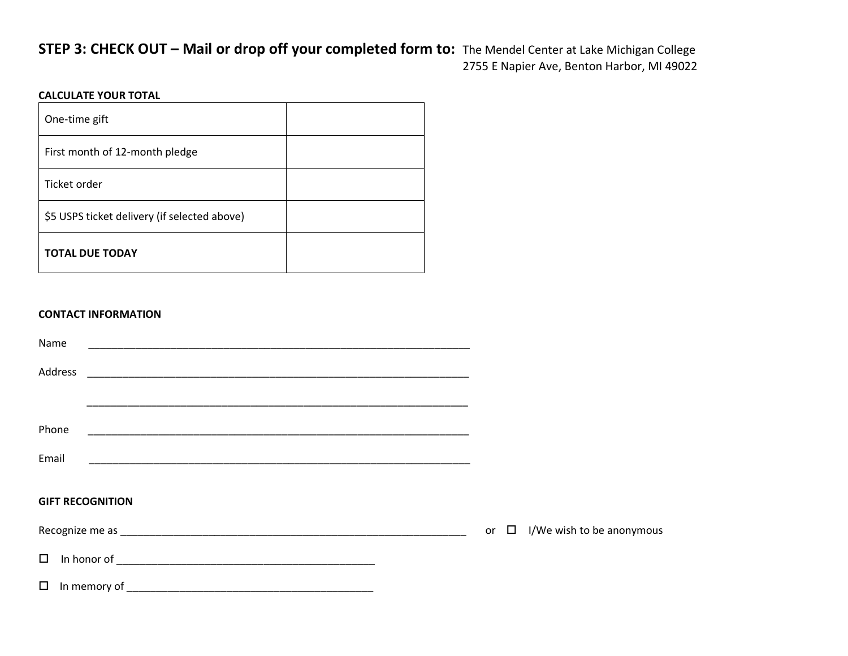### **STEP 3: CHECK OUT – Mail or drop off your completed form to:** The Mendel Center at Lake Michigan College 2755 E Napier Ave, Benton Harbor, MI 49022

<u> 1980 - Johann Barnett, fransk politik (d. 1980)</u>

#### **CALCULATE YOUR TOTAL**

| One-time gift                                |  |
|----------------------------------------------|--|
| First month of 12-month pledge               |  |
| Ticket order                                 |  |
| \$5 USPS ticket delivery (if selected above) |  |
| <b>TOTAL DUE TODAY</b>                       |  |

#### **CONTACT INFORMATION**

| Name                    |                                                      |  |                                     |
|-------------------------|------------------------------------------------------|--|-------------------------------------|
| Address                 |                                                      |  |                                     |
|                         |                                                      |  |                                     |
| Phone                   |                                                      |  |                                     |
| Email                   |                                                      |  |                                     |
| <b>GIFT RECOGNITION</b> |                                                      |  |                                     |
|                         | Recognize me as <b>Exercise 2018 Recognize me as</b> |  | or $\Box$ I/We wish to be anonymous |

In honor of \_\_\_\_\_\_\_\_\_\_\_\_\_\_\_\_\_\_\_\_\_\_\_\_\_\_\_\_\_\_\_\_\_\_\_\_\_\_\_\_\_\_\_\_

In memory of \_\_\_\_\_\_\_\_\_\_\_\_\_\_\_\_\_\_\_\_\_\_\_\_\_\_\_\_\_\_\_\_\_\_\_\_\_\_\_\_\_\_